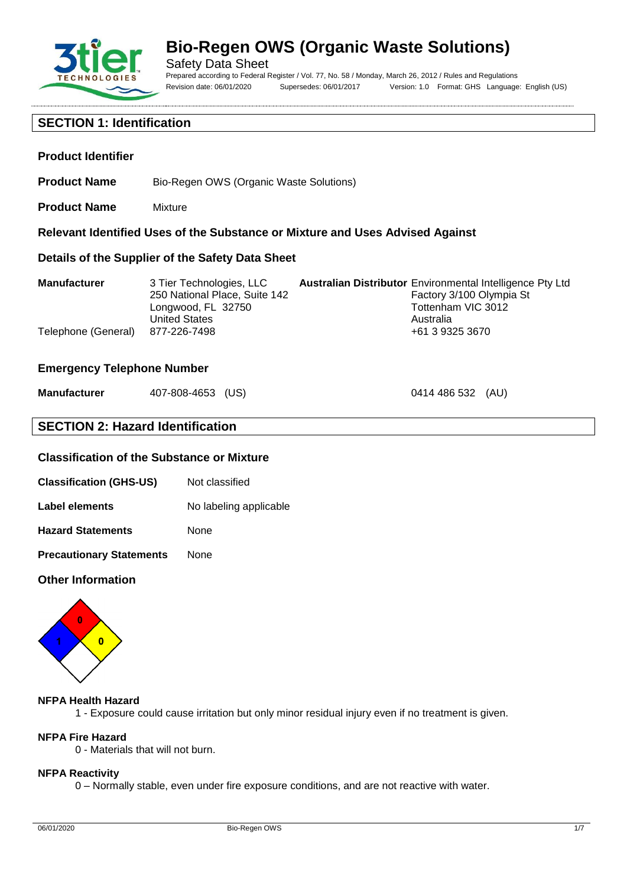

**Product Identifier**

# **Bio-Regen OWS (Organic Waste Solutions)**

Safety Data Sheet Prepared according to Federal Register / Vol. 77, No. 58 / Monday, March 26, 2012 / Rules and Regulations Revision date: 06/01/2020 Supersedes: 06/01/2017 Version: 1.0 Format: GHS Language: English (US)

0414 486 532 (AU)

### **SECTION 1: Identification**

**Product Name** Mixture

**Product Name** Bio-Regen OWS (Organic Waste Solutions)

| Relevant Identified Uses of the Substance or Mixture and Uses Advised Against |                                                                                                         |                                                                                                                                 |  |
|-------------------------------------------------------------------------------|---------------------------------------------------------------------------------------------------------|---------------------------------------------------------------------------------------------------------------------------------|--|
|                                                                               | Details of the Supplier of the Safety Data Sheet                                                        |                                                                                                                                 |  |
| <b>Manufacturer</b>                                                           | 3 Tier Technologies, LLC<br>250 National Place, Suite 142<br>Longwood, FL 32750<br><b>United States</b> | <b>Australian Distributor</b> Environmental Intelligence Pty Ltd<br>Factory 3/100 Olympia St<br>Tottenham VIC 3012<br>Australia |  |
| Telephone (General)                                                           | 877-226-7498                                                                                            | +61 3 9325 3670                                                                                                                 |  |

#### **Emergency Telephone Number**

| <b>Manufacturer</b> | 407-808-4653 (US) |  |
|---------------------|-------------------|--|
|---------------------|-------------------|--|

### **SECTION 2: Hazard Identification**

#### **Classification of the Substance or Mixture**

| Not classified |
|----------------|
|                |

| Label elements | No labeling applicable |  |
|----------------|------------------------|--|
|----------------|------------------------|--|

**Hazard Statements** None

**Precautionary Statements** None

#### **Other Information**



#### **NFPA Health Hazard**

1 - Exposure could cause irritation but only minor residual injury even if no treatment is given.

# **NFPA Fire Hazard**

0 - Materials that will not burn.

#### **NFPA Reactivity**

0 – Normally stable, even under fire exposure conditions, and are not reactive with water.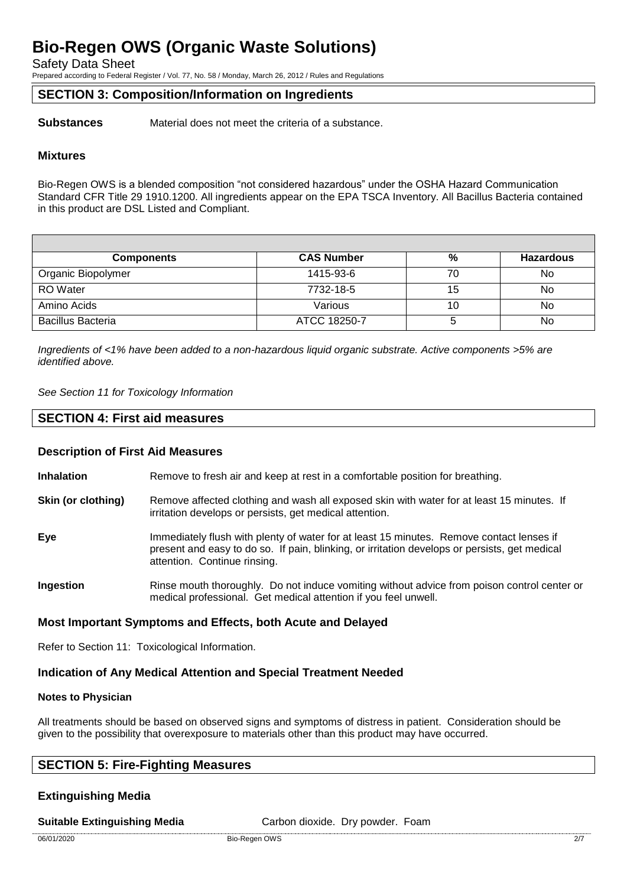Safety Data Sheet

Prepared according to Federal Register / Vol. 77, No. 58 / Monday, March 26, 2012 / Rules and Regulations

#### **SECTION 3: Composition/Information on Ingredients**

**Substances** Material does not meet the criteria of a substance.

#### **Mixtures**

Bio-Regen OWS is a blended composition "not considered hazardous" under the OSHA Hazard Communication Standard CFR Title 29 1910.1200. All ingredients appear on the EPA TSCA Inventory. All Bacillus Bacteria contained in this product are DSL Listed and Compliant.

| <b>Components</b>        | <b>CAS Number</b> | %  | <b>Hazardous</b> |
|--------------------------|-------------------|----|------------------|
| Organic Biopolymer       | 1415-93-6         | 70 | No               |
| <b>RO</b> Water          | 7732-18-5         | 15 | No               |
| Amino Acids              | Various           | 10 | No               |
| <b>Bacillus Bacteria</b> | ATCC 18250-7      |    | No               |

*Ingredients of <1% have been added to a non-hazardous liquid organic substrate. Active components >5% are identified above.*

*See Section 11 for Toxicology Information*

#### **SECTION 4: First aid measures**

#### **Description of First Aid Measures**

**Inhalation** Remove to fresh air and keep at rest in a comfortable position for breathing.

- **Skin (or clothing)** Remove affected clothing and wash all exposed skin with water for at least 15 minutes. If irritation develops or persists, get medical attention.
- **Eye** Immediately flush with plenty of water for at least 15 minutes. Remove contact lenses if present and easy to do so. If pain, blinking, or irritation develops or persists, get medical attention. Continue rinsing.
- **Ingestion** Rinse mouth thoroughly. Do not induce vomiting without advice from poison control center or medical professional. Get medical attention if you feel unwell.

#### **Most Important Symptoms and Effects, both Acute and Delayed**

Refer to Section 11: Toxicological Information.

#### **Indication of Any Medical Attention and Special Treatment Needed**

#### **Notes to Physician**

All treatments should be based on observed signs and symptoms of distress in patient. Consideration should be given to the possibility that overexposure to materials other than this product may have occurred.

### **SECTION 5: Fire-Fighting Measures**

### **Extinguishing Media**

**Suitable Extinguishing Media** Carbon dioxide. Dry powder. Foam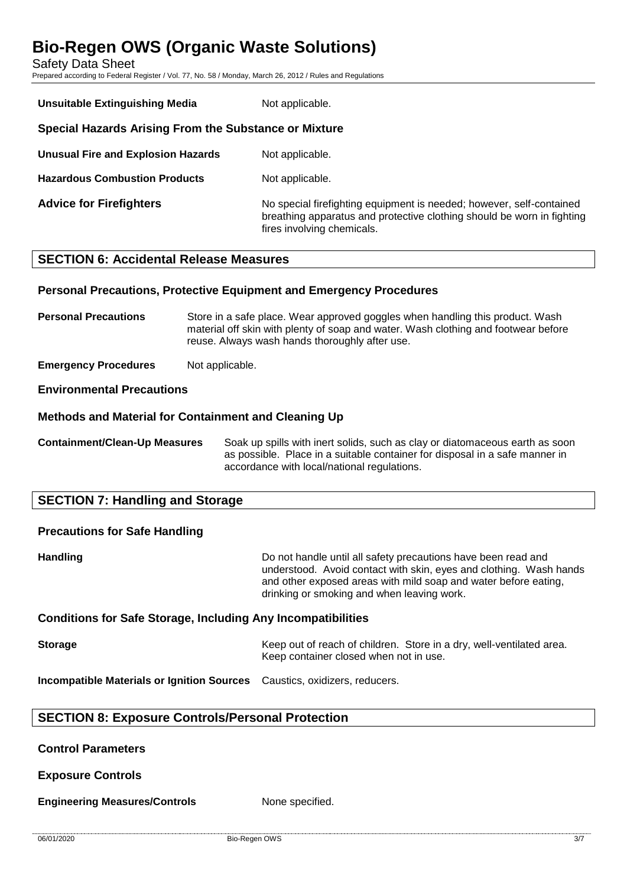Safety Data Sheet

Prepared according to Federal Register / Vol. 77, No. 58 / Monday, March 26, 2012 / Rules and Regulations

| <b>Unsuitable Extinguishing Media</b>                 | Not applicable.                                                                                                                                                              |  |
|-------------------------------------------------------|------------------------------------------------------------------------------------------------------------------------------------------------------------------------------|--|
| Special Hazards Arising From the Substance or Mixture |                                                                                                                                                                              |  |
| <b>Unusual Fire and Explosion Hazards</b>             | Not applicable.                                                                                                                                                              |  |
| <b>Hazardous Combustion Products</b>                  | Not applicable.                                                                                                                                                              |  |
| <b>Advice for Firefighters</b>                        | No special firefighting equipment is needed; however, self-contained<br>breathing apparatus and protective clothing should be worn in fighting<br>fires involving chemicals. |  |

### **SECTION 6: Accidental Release Measures**

#### **Personal Precautions, Protective Equipment and Emergency Procedures**

**Personal Precautions** Store in a safe place. Wear approved goggles when handling this product. Wash material off skin with plenty of soap and water. Wash clothing and footwear before reuse. Always wash hands thoroughly after use.

**Emergency Procedures** Not applicable.

#### **Environmental Precautions**

#### **Methods and Material for Containment and Cleaning Up**

**Containment/Clean-Up Measures** Soak up spills with inert solids, such as clay or diatomaceous earth as soon as possible. Place in a suitable container for disposal in a safe manner in accordance with local/national regulations.

### **SECTION 7: Handling and Storage**

## **Precautions for Safe Handling**

**Handling Handling Handling Example 10** Do not handle until all safety precautions have been read and understood. Avoid contact with skin, eyes and clothing. Wash hands and other exposed areas with mild soap and water before eating, drinking or smoking and when leaving work.

#### **Conditions for Safe Storage, Including Any Incompatibilities**

**Storage** Keep out of reach of children. Store in a dry, well-ventilated area. Keep container closed when not in use.

**Incompatible Materials or Ignition Sources** Caustics, oxidizers, reducers.

### **SECTION 8: Exposure Controls/Personal Protection**

#### **Control Parameters**

**Exposure Controls**

**Engineering Measures/Controls** None specified.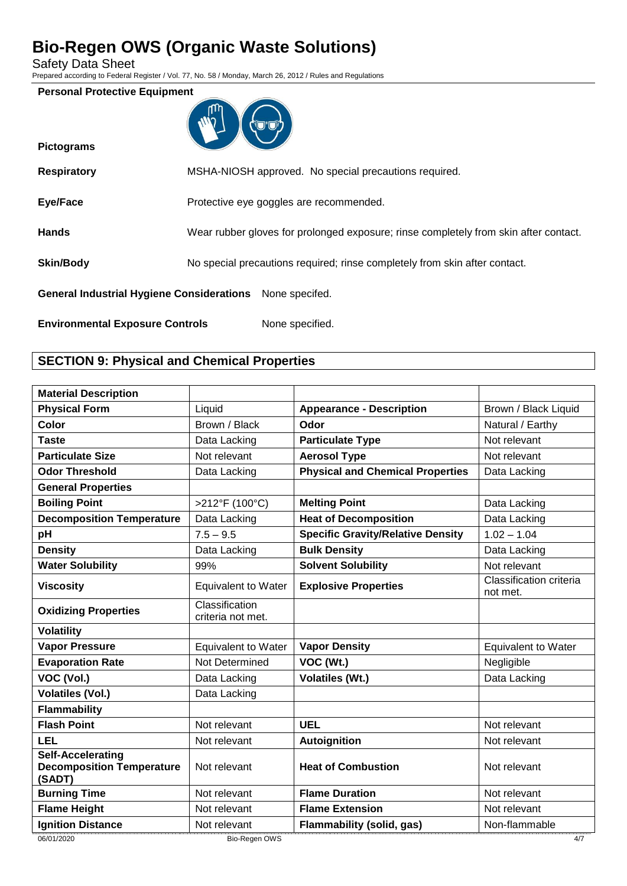Safety Data Sheet

**Pictograms**

Prepared according to Federal Register / Vol. 77, No. 58 / Monday, March 26, 2012 / Rules and Regulations

#### **Personal Protective Equipment**



| <b>Respiratory</b>                                       | MSHA-NIOSH approved. No special precautions required.                                |
|----------------------------------------------------------|--------------------------------------------------------------------------------------|
| Eye/Face                                                 | Protective eye goggles are recommended.                                              |
| <b>Hands</b>                                             | Wear rubber gloves for prolonged exposure; rinse completely from skin after contact. |
| <b>Skin/Body</b>                                         | No special precautions required; rinse completely from skin after contact.           |
| General Industrial Hygiene Considerations None specifed. |                                                                                      |
| <b>Environmental Exposure Controls</b>                   | None specified.                                                                      |

### **SECTION 9: Physical and Chemical Properties**

| <b>Material Description</b>                                            |                                     |                                          |                                     |
|------------------------------------------------------------------------|-------------------------------------|------------------------------------------|-------------------------------------|
| <b>Physical Form</b>                                                   | Liquid                              | <b>Appearance - Description</b>          | Brown / Black Liquid                |
| Color                                                                  | Brown / Black                       | Odor                                     | Natural / Earthy                    |
| <b>Taste</b>                                                           | Data Lacking                        | <b>Particulate Type</b>                  | Not relevant                        |
| <b>Particulate Size</b>                                                | Not relevant                        | <b>Aerosol Type</b>                      | Not relevant                        |
| <b>Odor Threshold</b>                                                  | Data Lacking                        | <b>Physical and Chemical Properties</b>  | Data Lacking                        |
| <b>General Properties</b>                                              |                                     |                                          |                                     |
| <b>Boiling Point</b>                                                   | >212°F (100°C)                      | <b>Melting Point</b>                     | Data Lacking                        |
| <b>Decomposition Temperature</b>                                       | Data Lacking                        | <b>Heat of Decomposition</b>             | Data Lacking                        |
| pH                                                                     | $7.5 - 9.5$                         | <b>Specific Gravity/Relative Density</b> | $1.02 - 1.04$                       |
| <b>Density</b>                                                         | Data Lacking                        | <b>Bulk Density</b>                      | Data Lacking                        |
| <b>Water Solubility</b>                                                | 99%                                 | <b>Solvent Solubility</b>                | Not relevant                        |
| <b>Viscosity</b>                                                       | <b>Equivalent to Water</b>          | <b>Explosive Properties</b>              | Classification criteria<br>not met. |
| <b>Oxidizing Properties</b>                                            | Classification<br>criteria not met. |                                          |                                     |
| <b>Volatility</b>                                                      |                                     |                                          |                                     |
| <b>Vapor Pressure</b>                                                  | <b>Equivalent to Water</b>          | <b>Vapor Density</b>                     | <b>Equivalent to Water</b>          |
| <b>Evaporation Rate</b>                                                | Not Determined                      | VOC (Wt.)                                | Negligible                          |
| VOC (Vol.)                                                             | Data Lacking                        | <b>Volatiles (Wt.)</b>                   | Data Lacking                        |
| <b>Volatiles (Vol.)</b>                                                | Data Lacking                        |                                          |                                     |
| Flammability                                                           |                                     |                                          |                                     |
| <b>Flash Point</b>                                                     | Not relevant                        | <b>UEL</b>                               | Not relevant                        |
| <b>LEL</b>                                                             | Not relevant                        | <b>Autoignition</b>                      | Not relevant                        |
| <b>Self-Accelerating</b><br><b>Decomposition Temperature</b><br>(SADT) | Not relevant                        | <b>Heat of Combustion</b>                | Not relevant                        |
| <b>Burning Time</b>                                                    | Not relevant                        | <b>Flame Duration</b>                    | Not relevant                        |
| <b>Flame Height</b>                                                    | Not relevant                        | <b>Flame Extension</b>                   | Not relevant                        |
| <b>Ignition Distance</b>                                               | Not relevant                        | <b>Flammability (solid, gas)</b>         | Non-flammable                       |
| 06/01/2020                                                             | Bio-Regen OWS                       |                                          | 4/7                                 |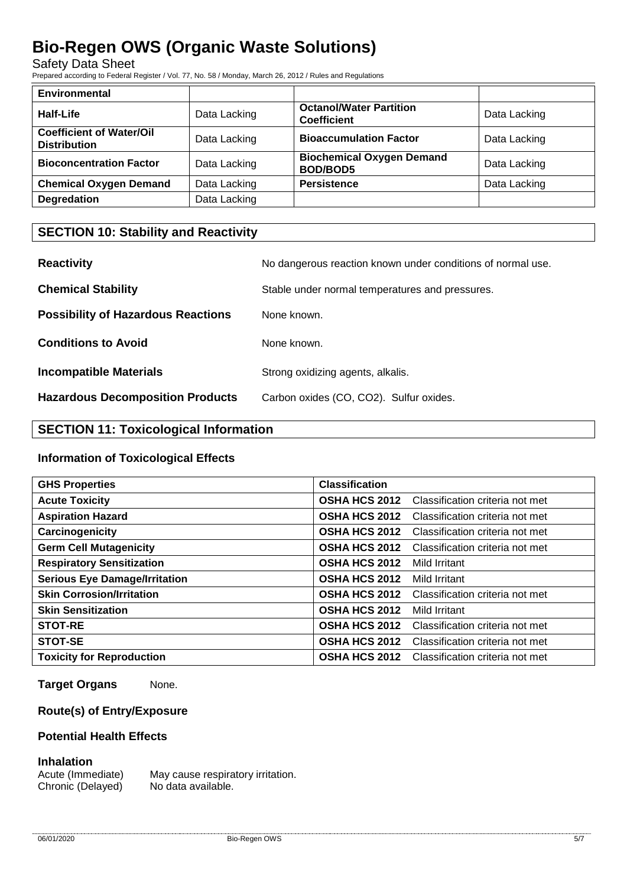Safety Data Sheet

Prepared according to Federal Register / Vol. 77, No. 58 / Monday, March 26, 2012 / Rules and Regulations

| Environmental                                          |              |                                                      |              |
|--------------------------------------------------------|--------------|------------------------------------------------------|--------------|
| Half-Life                                              | Data Lacking | <b>Octanol/Water Partition</b><br><b>Coefficient</b> | Data Lacking |
| <b>Coefficient of Water/Oil</b><br><b>Distribution</b> | Data Lacking | <b>Bioaccumulation Factor</b>                        | Data Lacking |
| <b>Bioconcentration Factor</b>                         | Data Lacking | <b>Biochemical Oxygen Demand</b><br><b>BOD/BOD5</b>  | Data Lacking |
| <b>Chemical Oxygen Demand</b>                          | Data Lacking | <b>Persistence</b>                                   | Data Lacking |
| <b>Degredation</b>                                     | Data Lacking |                                                      |              |

### **SECTION 10: Stability and Reactivity**

| <b>Reactivity</b>                         | No dangerous reaction known under conditions of normal use. |
|-------------------------------------------|-------------------------------------------------------------|
| <b>Chemical Stability</b>                 | Stable under normal temperatures and pressures.             |
| <b>Possibility of Hazardous Reactions</b> | None known.                                                 |
| <b>Conditions to Avoid</b>                | None known.                                                 |
| <b>Incompatible Materials</b>             | Strong oxidizing agents, alkalis.                           |
| <b>Hazardous Decomposition Products</b>   | Carbon oxides (CO, CO2). Sulfur oxides.                     |

### **SECTION 11: Toxicological Information**

#### **Information of Toxicological Effects**

| <b>GHS Properties</b>                | <b>Classification</b> |                                 |
|--------------------------------------|-----------------------|---------------------------------|
| <b>Acute Toxicity</b>                | <b>OSHA HCS 2012</b>  | Classification criteria not met |
| <b>Aspiration Hazard</b>             | <b>OSHA HCS 2012</b>  | Classification criteria not met |
| Carcinogenicity                      | <b>OSHA HCS 2012</b>  | Classification criteria not met |
| <b>Germ Cell Mutagenicity</b>        | <b>OSHA HCS 2012</b>  | Classification criteria not met |
| <b>Respiratory Sensitization</b>     | <b>OSHA HCS 2012</b>  | Mild Irritant                   |
| <b>Serious Eye Damage/Irritation</b> | <b>OSHA HCS 2012</b>  | Mild Irritant                   |
| <b>Skin Corrosion/Irritation</b>     | <b>OSHA HCS 2012</b>  | Classification criteria not met |
| <b>Skin Sensitization</b>            | <b>OSHA HCS 2012</b>  | Mild Irritant                   |
| <b>STOT-RE</b>                       | <b>OSHA HCS 2012</b>  | Classification criteria not met |
| STOT-SE                              | <b>OSHA HCS 2012</b>  | Classification criteria not met |
| <b>Toxicity for Reproduction</b>     | <b>OSHA HCS 2012</b>  | Classification criteria not met |

**Target Organs** None.

### **Route(s) of Entry/Exposure**

#### **Potential Health Effects**

#### **Inhalation**

Acute (Immediate) May cause respiratory irritation. Chronic (Delayed) No data available.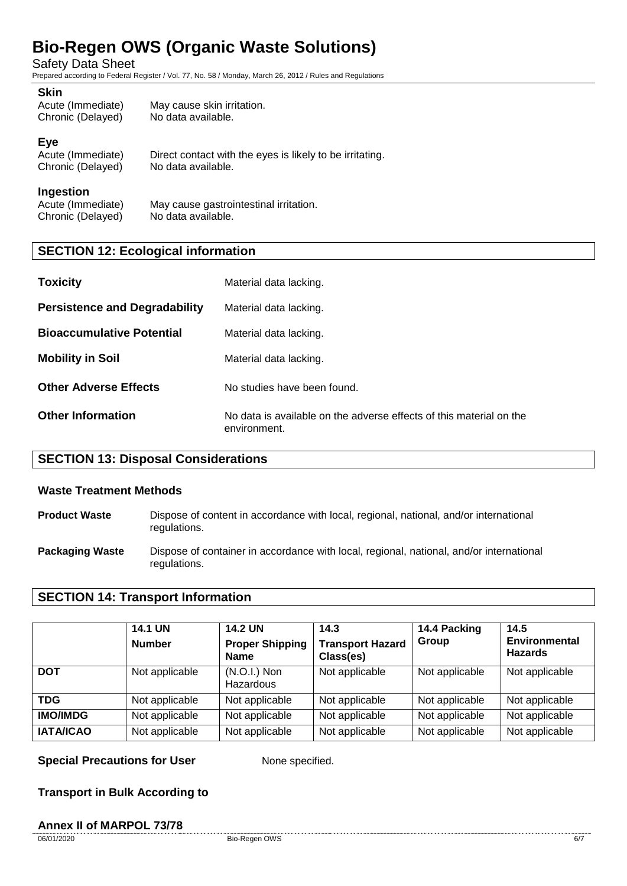Safety Data Sheet

Prepared according to Federal Register / Vol. 77, No. 58 / Monday, March 26, 2012 / Rules and Regulations

#### **Skin**

| --------<br>Acute (Immediate)<br>Chronic (Delayed) | May cause skin irritation.<br>No data available. |
|----------------------------------------------------|--------------------------------------------------|
|                                                    |                                                  |

#### **Eye**

Acute (Immediate) Direct contact with the eyes is likely to be irritating.<br>Chronic (Delayed) No data available. Chronic (Delayed)

#### **Ingestion**

Acute (Immediate) May cause gastrointestinal irritation.<br>Chronic (Delaved) No data available. Chronic (Delayed)

### **SECTION 12: Ecological information**

| <b>Toxicity</b>                      | Material data lacking.                                                              |
|--------------------------------------|-------------------------------------------------------------------------------------|
| <b>Persistence and Degradability</b> | Material data lacking.                                                              |
| <b>Bioaccumulative Potential</b>     | Material data lacking.                                                              |
| <b>Mobility in Soil</b>              | Material data lacking.                                                              |
| <b>Other Adverse Effects</b>         | No studies have been found.                                                         |
| <b>Other Information</b>             | No data is available on the adverse effects of this material on the<br>environment. |

### **SECTION 13: Disposal Considerations**

#### **Waste Treatment Methods**

- **Product Waste** Dispose of content in accordance with local, regional, national, and/or international regulations.
- **Packaging Waste** Dispose of container in accordance with local, regional, national, and/or international regulations.

### **SECTION 14: Transport Information**

|                  | <b>14.1 UN</b><br><b>Number</b> | <b>14.2 UN</b><br><b>Proper Shipping</b><br><b>Name</b> | 14.3<br><b>Transport Hazard</b><br>Class(es) | 14.4 Packing<br>Group | 14.5<br><b>Environmental</b><br><b>Hazards</b> |
|------------------|---------------------------------|---------------------------------------------------------|----------------------------------------------|-----------------------|------------------------------------------------|
| <b>DOT</b>       | Not applicable                  | $(N.O.I.)$ Non<br>Hazardous                             | Not applicable                               | Not applicable        | Not applicable                                 |
| <b>TDG</b>       | Not applicable                  | Not applicable                                          | Not applicable                               | Not applicable        | Not applicable                                 |
| <b>IMO/IMDG</b>  | Not applicable                  | Not applicable                                          | Not applicable                               | Not applicable        | Not applicable                                 |
| <b>IATA/ICAO</b> | Not applicable                  | Not applicable                                          | Not applicable                               | Not applicable        | Not applicable                                 |

**Special Precautions for User** None specified.

**Transport in Bulk According to**

#### **Annex II of MARPOL 73/78**